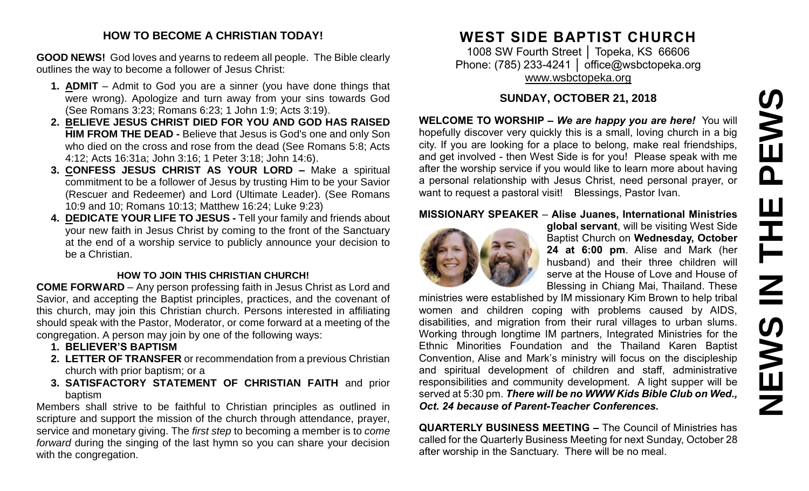# PEWS **NEWS IN THE PEWS**Ш **HH NH SVEMS**

#### **HOW TO BECOME A CHRISTIAN TODAY!**

**GOOD NEWS!** God loves and yearns to redeem all people. The Bible clearly outlines the way to become a follower of Jesus Christ:

- **1. ADMIT** Admit to God you are a sinner (you have done things that were wrong). Apologize and turn away from your sins towards God (See Romans 3:23; Romans 6:23; 1 John 1:9; Acts 3:19).
- **2. BELIEVE JESUS CHRIST DIED FOR YOU AND GOD HAS RAISED HIM FROM THE DEAD -** Believe that Jesus is God's one and only Son who died on the cross and rose from the dead (See Romans 5:8; Acts 4:12; Acts 16:31a; John 3:16; 1 Peter 3:18; John 14:6).
- **3. CONFESS JESUS CHRIST AS YOUR LORD –** Make a spiritual commitment to be a follower of Jesus by trusting Him to be your Savior (Rescuer and Redeemer) and Lord (Ultimate Leader). (See Romans 10:9 and 10; Romans 10:13; Matthew 16:24; Luke 9:23)
- **4. DEDICATE YOUR LIFE TO JESUS -** Tell your family and friends about your new faith in Jesus Christ by coming to the front of the Sanctuary at the end of a worship service to publicly announce your decision to be a Christian.

#### **HOW TO JOIN THIS CHRISTIAN CHURCH!**

**COME FORWARD** – Any person professing faith in Jesus Christ as Lord and Savior, and accepting the Baptist principles, practices, and the covenant of this church, may join this Christian church. Persons interested in affiliating should speak with the Pastor, Moderator, or come forward at a meeting of the congregation. A person may join by one of the following ways:

- **1. BELIEVER'S BAPTISM**
- **2. LETTER OF TRANSFER** or recommendation from a previous Christian church with prior baptism; or a
- **3. SATISFACTORY STATEMENT OF CHRISTIAN FAITH** and prior baptism

Members shall strive to be faithful to Christian principles as outlined in scripture and support the mission of the church through attendance, prayer, service and monetary giving. The *first step* to becoming a member is to *come forward* during the singing of the last hymn so you can share your decision with the congregation.

# **WEST SIDE BAPTIST CHURCH**

1008 SW Fourth Street │ Topeka, KS 66606 Phone: (785) 233-4241 │ [office@wsbctopeka.org](mailto:office@wsbctopeka.org) [www.wsbctopeka.org](http://www.wsbctopeka.org/)

## **SUNDAY, OCTOBER 21, 2018**

**WELCOME TO WORSHIP –** *We are happy you are here!* You will hopefully discover very quickly this is a small, loving church in a big city. If you are looking for a place to belong, make real friendships, and get involved - then West Side is for you! Please speak with me after the worship service if you would like to learn more about having a personal relationship with Jesus Christ, need personal prayer, or want to request a pastoral visit! Blessings, Pastor Ivan.

#### **MISSIONARY SPEAKER** – **Alise Juanes, International Ministries**



**global servant**, will be visiting West Side Baptist Church on **Wednesday, October 24 at 6:00 pm**. Alise and Mark (her husband) and their three children will serve at the House of Love and House of Blessing in Chiang Mai, Thailand. These

ministries were established by IM missionary Kim Brown to help tribal women and children coping with problems caused by AIDS, disabilities, and migration from their rural villages to urban slums. Working through longtime IM partners, Integrated Ministries for the Ethnic Minorities Foundation and the Thailand Karen Baptist Convention, Alise and Mark's ministry will focus on the discipleship and spiritual development of children and staff, administrative responsibilities and community development. A light supper will be served at 5:30 pm. *There will be no WWW Kids Bible Club on Wed., Oct. 24 because of Parent-Teacher Conferences.*

**QUARTERLY BUSINESS MEETING –** The Council of Ministries has called for the Quarterly Business Meeting for next Sunday, October 28 after worship in the Sanctuary. There will be no meal.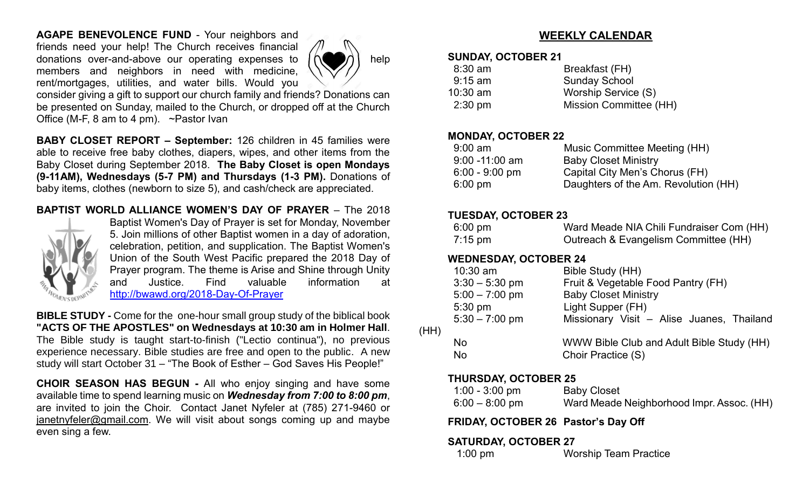**AGAPE BENEVOLENCE FUND** - Your neighbors and friends need your help! The Church receives financial donations over-and-above our operating expenses to  $n \geq \frac{1}{2}$  help members and neighbors in need with medicine, rent/mortgages, utilities, and water bills. Would you



consider giving a gift to support our church family and friends? Donations can be presented on Sunday, mailed to the Church, or dropped off at the Church Office (M-F, 8 am to 4 pm). ~Pastor Ivan

**BABY CLOSET REPORT – September:** 126 children in 45 families were able to receive free baby clothes, diapers, wipes, and other items from the Baby Closet during September 2018. **The Baby Closet is open Mondays (9-11AM), Wednesdays (5-7 PM) and Thursdays (1-3 PM).** Donations of baby items, clothes (newborn to size 5), and cash/check are appreciated.

#### **BAPTIST WORLD ALLIANCE WOMEN'S DAY OF PRAYER** – The 2018



Baptist Women's Day of Prayer is set for Monday, November 5. Join millions of other Baptist women in a day of adoration, celebration, petition, and supplication. The Baptist Women's Union of the South West Pacific prepared the 2018 Day of Prayer program. The theme is Arise and Shine through Unity and Justice. Find valuable information at <http://bwawd.org/2018-Day-Of-Prayer>

**BIBLE STUDY -** Come for the one-hour small group study of the biblical book **"ACTS OF THE APOSTLES" on Wednesdays at 10:30 am in Holmer Hall**. The Bible study is taught start-to-finish ("Lectio continua"), no previous experience necessary. Bible studies are free and open to the public. A new study will start October 31 – "The Book of Esther – God Saves His People!"

**CHOIR SEASON HAS BEGUN -** All who enjoy singing and have some available time to spend learning music on *Wednesday from 7:00 to 8:00 pm*, are invited to join the Choir. Contact Janet Nyfeler at (785) 271-9460 or [janetnyfeler@gmail.com.](mailto:janetnyfeler@gmail.com) We will visit about songs coming up and maybe even sing a few.

### **WEEKLY CALENDAR**

#### **SUNDAY, OCTOBER 21**

| Breakfast (FH)         |
|------------------------|
| <b>Sunday School</b>   |
| Worship Service (S)    |
| Mission Committee (HH) |
|                        |

#### **MONDAY, OCTOBER 22**

| Music Committee Meeting (HH)         |
|--------------------------------------|
| <b>Baby Closet Ministry</b>          |
| Capital City Men's Chorus (FH)       |
| Daughters of the Am. Revolution (HH) |
|                                      |

#### **TUESDAY, OCTOBER 23**

| $6:00 \text{ pm}$ | Ward Meade NIA Chili Fundraiser Com (HH) |
|-------------------|------------------------------------------|
| $7:15 \text{ pm}$ | Outreach & Evangelism Committee (HH)     |

#### **WEDNESDAY, OCTOBER 24**

| Missionary Visit - Alise Juanes, Thailand |
|-------------------------------------------|
|                                           |
| WWW Bible Club and Adult Bible Study (HH) |
|                                           |
|                                           |
|                                           |

#### **THURSDAY, OCTOBER 25**

| $1:00 - 3:00$ pm | <b>Baby Closet</b>                        |
|------------------|-------------------------------------------|
| $6:00 - 8:00$ pm | Ward Meade Neighborhood Impr. Assoc. (HH) |

#### **FRIDAY, OCTOBER 26 Pastor's Day Off**

#### **SATURDAY, OCTOBER 27**

1:00 pm Worship Team Practice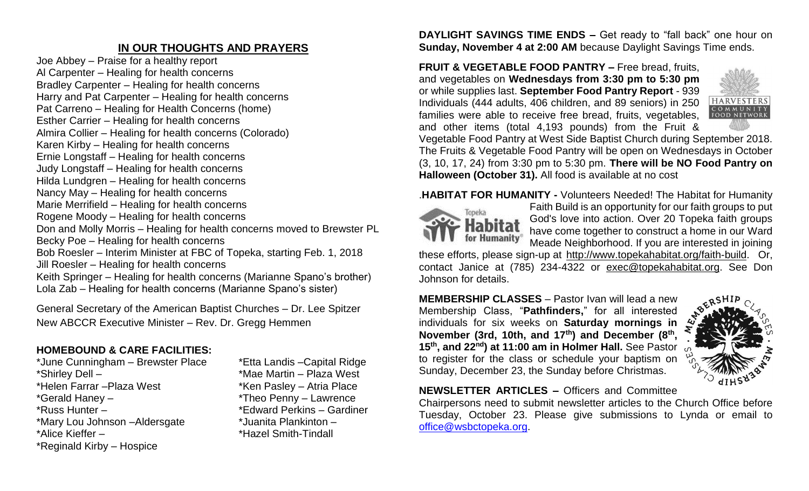# **IN OUR THOUGHTS AND PRAYERS**

Joe Abbey – Praise for a healthy report Al Carpenter – Healing for health concerns Bradley Carpenter – Healing for health concerns Harry and Pat Carpenter – Healing for health concerns Pat Carreno – Healing for Health Concerns (home) Esther Carrier – Healing for health concerns Almira Collier – Healing for health concerns (Colorado) Karen Kirby – Healing for health concerns Ernie Longstaff – Healing for health concerns Judy Longstaff – Healing for health concerns Hilda Lundgren – Healing for health concerns Nancy May – Healing for health concerns Marie Merrifield – Healing for health concerns Rogene Moody – Healing for health concerns Don and Molly Morris – Healing for health concerns moved to Brewster PL Becky Poe – Healing for health concerns Bob Roesler – Interim Minister at FBC of Topeka, starting Feb. 1, 2018 Jill Roesler – Healing for health concerns Keith Springer – Healing for health concerns (Marianne Spano's brother) Lola Zab – Healing for health concerns (Marianne Spano's sister)

General Secretary of the American Baptist Churches – Dr. Lee Spitzer New ABCCR Executive Minister – Rev. Dr. Gregg Hemmen

## **HOMEBOUND & CARE FACILITIES:**

\*June Cunningham – Brewster Place \*Etta Landis –Capital Ridge \*Shirley Dell – \*Mae Martin – Plaza West \*Helen Farrar – Plaza West \*Ken Pasley – Atria Place \*Gerald Haney – \*Theo Penny – Lawrence \*Russ Hunter – \* \*Edward Perkins – Gardiner \*Mary Lou Johnson –Aldersgate \*Juanita Plankinton – \*Alice Kieffer – \*Hazel Smith-Tindall \*Reginald Kirby – Hospice

**DAYLIGHT SAVINGS TIME ENDS –** Get ready to "fall back" one hour on **Sunday, November 4 at 2:00 AM** because Daylight Savings Time ends.

**FRUIT & VEGETABLE FOOD PANTRY –** Free bread, fruits, and vegetables on **Wednesdays from 3:30 pm to 5:30 pm**  or while supplies last. **September Food Pantry Report** - 939 Individuals (444 adults, 406 children, and 89 seniors) in 250 families were able to receive free bread, fruits, vegetables, and other items (total 4,193 pounds) from the Fruit &



Vegetable Food Pantry at West Side Baptist Church during September 2018. The Fruits & Vegetable Food Pantry will be open on Wednesdays in October (3, 10, 17, 24) from 3:30 pm to 5:30 pm. **There will be NO Food Pantry on Halloween (October 31).** All food is available at no cost

.**HABITAT FOR HUMANITY -** Volunteers Needed! The Habitat for Humanity



Faith Build is an opportunity for our faith groups to put God's love into action. Over 20 Topeka faith groups have come together to construct a home in our Ward Meade Neighborhood. If you are interested in joining

these efforts, please sign-up at [http://www.topekahabitat.org/faith-build.](http://www.topekahabitat.org/faith-build) Or, contact Janice at (785) 234-4322 or [exec@topekahabitat.org.](mailto:exec@topekahabitat.org) See Don Johnson for details.

**MEMBERSHIP CLASSES** – Pastor Ivan will lead a new Membership Class, "**Pathfinders,**" for all interested individuals for six weeks on **Saturday mornings in November (3rd, 10th, and 17th) and December (8th , 15th, and 22nd) at 11:00 am in Holmer Hall.** See Pastor to register for the class or schedule your baptism on Sunday, December 23, the Sunday before Christmas.



**NEWSLETTER ARTICLES –** Officers and Committee

Chairpersons need to submit newsletter articles to the Church Office before Tuesday, October 23. Please give submissions to Lynda or email to [office@wsbctopeka.org.](mailto:office@wsbctopeka.org)